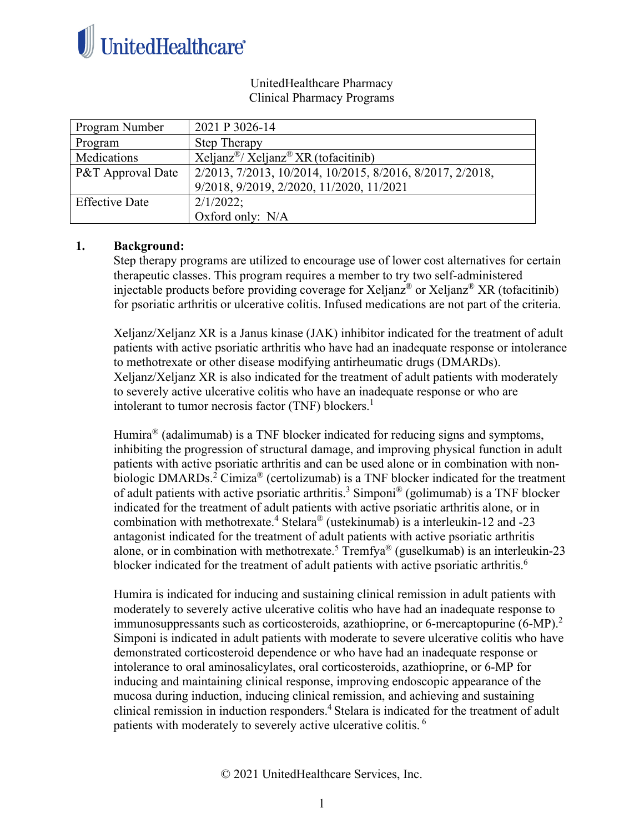

## UnitedHealthcare Pharmacy Clinical Pharmacy Programs

| Program Number        | 2021 P 3026-14                                                 |
|-----------------------|----------------------------------------------------------------|
| Program               | <b>Step Therapy</b>                                            |
| Medications           | $Xeljanz^{\circledast}/Xeljanz^{\circledast}XR$ (to facitinib) |
| P&T Approval Date     | 2/2013, 7/2013, 10/2014, 10/2015, 8/2016, 8/2017, 2/2018,      |
|                       | 9/2018, 9/2019, 2/2020, 11/2020, 11/2021                       |
| <b>Effective Date</b> | 2/1/2022;                                                      |
|                       | Oxford only: N/A                                               |

## **1. Background:**

Step therapy programs are utilized to encourage use of lower cost alternatives for certain therapeutic classes. This program requires a member to try two self-administered injectable products before providing coverage for Xeljanz<sup>®</sup> or Xeljanz<sup>®</sup> XR (tofacitinib) for psoriatic arthritis or ulcerative colitis. Infused medications are not part of the criteria.

Xeljanz/Xeljanz XR is a Janus kinase (JAK) inhibitor indicated for the treatment of adult patients with active psoriatic arthritis who have had an inadequate response or intolerance to methotrexate or other disease modifying antirheumatic drugs (DMARDs). Xeljanz/Xeljanz XR is also indicated for the treatment of adult patients with moderately to severely active ulcerative colitis who have an inadequate response or who are intolerant to tumor necrosis factor (TNF) blockers. 1

Humira<sup>®</sup> (adalimumab) is a TNF blocker indicated for reducing signs and symptoms, inhibiting the progression of structural damage, and improving physical function in adult patients with active psoriatic arthritis and can be used alone or in combination with nonbiologic DMARDs.<sup>2</sup> Cimiza® (certolizumab) is a TNF blocker indicated for the treatment of adult patients with active psoriatic arthritis.<sup>3</sup> Simponi<sup>®</sup> (golimumab) is a TNF blocker indicated for the treatment of adult patients with active psoriatic arthritis alone, or in combination with methotrexate. <sup>4</sup> Stelara® (ustekinumab) is a interleukin-12 and -23 antagonist indicated for the treatment of adult patients with active psoriatic arthritis alone, or in combination with methotrexate.<sup>5</sup> Tremfya<sup>®</sup> (guselkumab) is an interleukin-23 blocker indicated for the treatment of adult patients with active psoriatic arthritis.<sup>6</sup>

Humira is indicated for inducing and sustaining clinical remission in adult patients with moderately to severely active ulcerative colitis who have had an inadequate response to immunosuppressants such as corticosteroids, azathioprine, or 6-mercaptopurine  $(6-MP)^2$ . Simponi is indicated in adult patients with moderate to severe ulcerative colitis who have demonstrated corticosteroid dependence or who have had an inadequate response or intolerance to oral aminosalicylates, oral corticosteroids, azathioprine, or 6-MP for inducing and maintaining clinical response, improving endoscopic appearance of the mucosa during induction, inducing clinical remission, and achieving and sustaining clinical remission in induction responders.<sup>4</sup> Stelara is indicated for the treatment of adult patients with moderately to severely active ulcerative colitis. <sup>6</sup>

© 2021 UnitedHealthcare Services, Inc.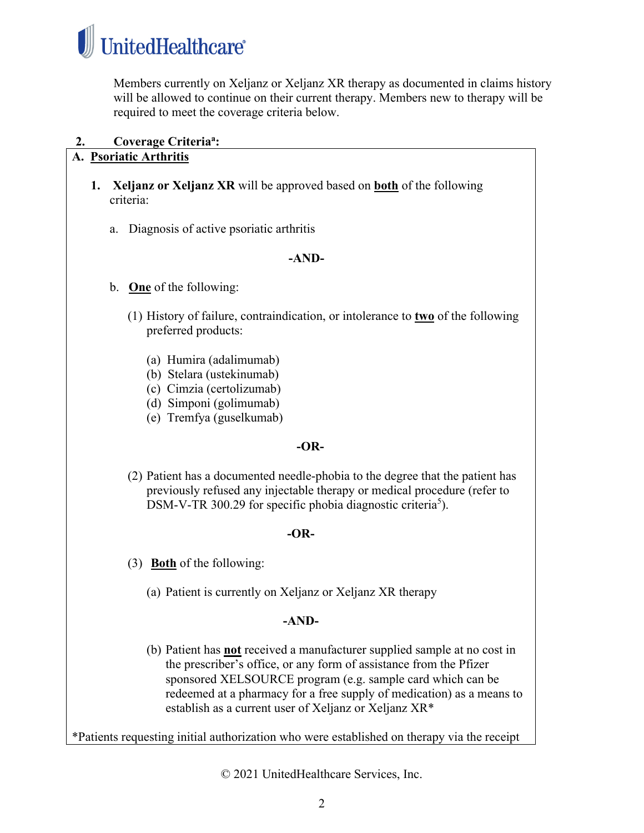

Members currently on Xeljanz or Xeljanz XR therapy as documented in claims history will be allowed to continue on their current therapy. Members new to therapy will be required to meet the coverage criteria below.

**2. Coverage Criteriaa :**

# **A. Psoriatic Arthritis**

- **1. Xeljanz or Xeljanz XR** will be approved based on **both** of the following criteria:
	- a. Diagnosis of active psoriatic arthritis

## **-AND-**

- b. **One** of the following:
	- (1) History of failure, contraindication, or intolerance to **two** of the following preferred products:
		- (a) Humira (adalimumab)
		- (b) Stelara (ustekinumab)
		- (c) Cimzia (certolizumab)
		- (d) Simponi (golimumab)
		- (e) Tremfya (guselkumab)

#### **-OR-**

(2) Patient has a documented needle-phobia to the degree that the patient has previously refused any injectable therapy or medical procedure (refer to DSM-V-TR 300.29 for specific phobia diagnostic criteria<sup>5</sup>).

# **-OR-**

- (3) **Both** of the following:
	- (a) Patient is currently on Xeljanz or Xeljanz XR therapy

# **-AND-**

(b) Patient has **not** received a manufacturer supplied sample at no cost in the prescriber's office, or any form of assistance from the Pfizer sponsored XELSOURCE program (e.g. sample card which can be redeemed at a pharmacy for a free supply of medication) as a means to establish as a current user of Xeljanz or Xeljanz XR\*

\*Patients requesting initial authorization who were established on therapy via the receipt

© 2021 UnitedHealthcare Services, Inc.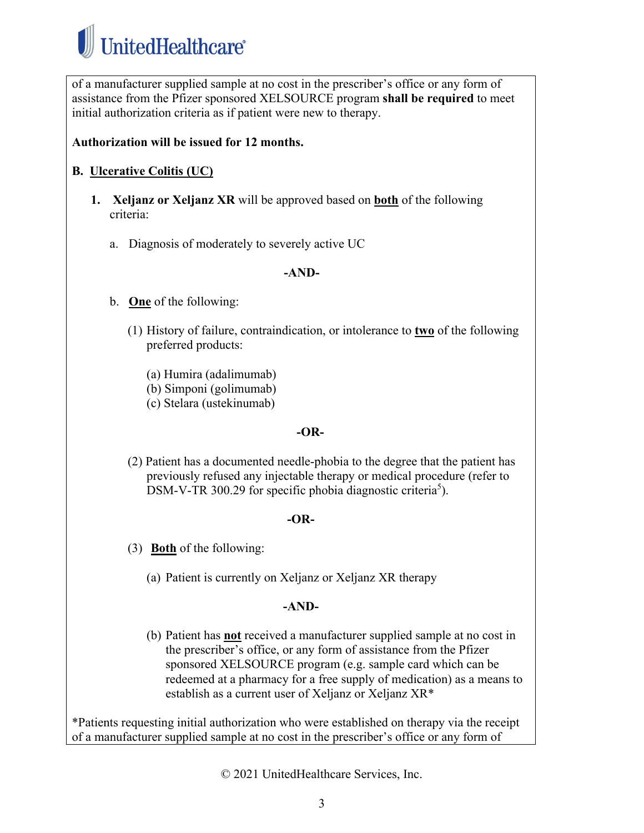

of a manufacturer supplied sample at no cost in the prescriber's office or any form of assistance from the Pfizer sponsored XELSOURCE program **shall be required** to meet initial authorization criteria as if patient were new to therapy.

# **Authorization will be issued for 12 months.**

# **B. Ulcerative Colitis (UC)**

- **1. Xeljanz or Xeljanz XR** will be approved based on **both** of the following criteria:
	- a. Diagnosis of moderately to severely active UC

#### **-AND-**

- b. **One** of the following:
	- (1) History of failure, contraindication, or intolerance to **two** of the following preferred products:
		- (a) Humira (adalimumab)
		- (b) Simponi (golimumab)
		- (c) Stelara (ustekinumab)

#### **-OR-**

(2) Patient has a documented needle-phobia to the degree that the patient has previously refused any injectable therapy or medical procedure (refer to DSM-V-TR 300.29 for specific phobia diagnostic criteria<sup>5</sup>).

#### **-OR-**

- (3) **Both** of the following:
	- (a) Patient is currently on Xeljanz or Xeljanz XR therapy

#### **-AND-**

(b) Patient has **not** received a manufacturer supplied sample at no cost in the prescriber's office, or any form of assistance from the Pfizer sponsored XELSOURCE program (e.g. sample card which can be redeemed at a pharmacy for a free supply of medication) as a means to establish as a current user of Xeljanz or Xeljanz XR\*

\*Patients requesting initial authorization who were established on therapy via the receipt of a manufacturer supplied sample at no cost in the prescriber's office or any form of

© 2021 UnitedHealthcare Services, Inc.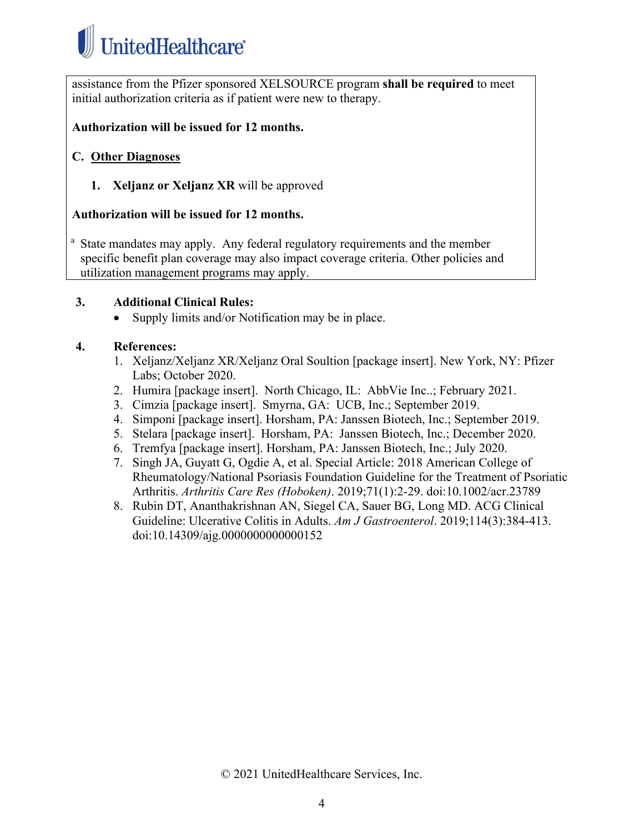

assistance from the Pfizer sponsored XELSOURCE program **shall be required** to meet initial authorization criteria as if patient were new to therapy.

#### **Authorization will be issued for 12 months.**

## **C. Other Diagnoses**

**1. Xeljanz or Xeljanz XR** will be approved

#### **Authorization will be issued for 12 months.**

<sup>a</sup> State mandates may apply. Any federal regulatory requirements and the member specific benefit plan coverage may also impact coverage criteria. Other policies and utilization management programs may apply.

#### **3. Additional Clinical Rules:**

• Supply limits and/or Notification may be in place.

## **4. References:**

- 1. Xeljanz/Xeljanz XR/Xeljanz Oral Soultion [package insert]. New York, NY: Pfizer Labs; October 2020.
- 2. Humira [package insert]. North Chicago, IL: AbbVie Inc..; February 2021.
- 3. Cimzia [package insert]. Smyrna, GA: UCB, Inc.; September 2019.
- 4. Simponi [package insert]. Horsham, PA: Janssen Biotech, Inc.; September 2019.
- 5. Stelara [package insert]. Horsham, PA: Janssen Biotech, Inc.; December 2020.
- 6. Tremfya [package insert]. Horsham, PA: Janssen Biotech, Inc.; July 2020.
- 7. Singh JA, Guyatt G, Ogdie A, et al. Special Article: 2018 American College of Rheumatology/National Psoriasis Foundation Guideline for the Treatment of Psoriatic Arthritis. *Arthritis Care Res (Hoboken)*. 2019;71(1):2-29. doi:10.1002/acr.23789
- 8. Rubin DT, Ananthakrishnan AN, Siegel CA, Sauer BG, Long MD. ACG Clinical Guideline: Ulcerative Colitis in Adults. *Am J Gastroenterol*. 2019;114(3):384-413. doi:10.14309/ajg.0000000000000152